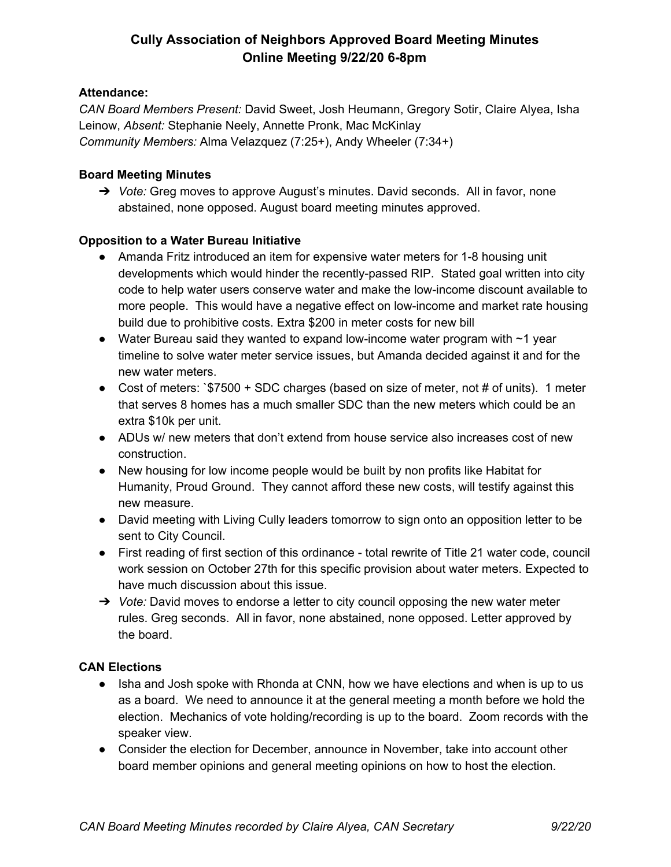### **Attendance:**

*CAN Board Members Present:* David Sweet, Josh Heumann, Gregory Sotir, Claire Alyea, Isha Leinow, *Absent:* Stephanie Neely, Annette Pronk, Mac McKinlay *Community Members:* Alma Velazquez (7:25+), Andy Wheeler (7:34+)

### **Board Meeting Minutes**

➔ *Vote:* Greg moves to approve August's minutes. David seconds. All in favor, none abstained, none opposed. August board meeting minutes approved.

### **Opposition to a Water Bureau Initiative**

- Amanda Fritz introduced an item for expensive water meters for 1-8 housing unit developments which would hinder the recently-passed RIP. Stated goal written into city code to help water users conserve water and make the low-income discount available to more people. This would have a negative effect on low-income and market rate housing build due to prohibitive costs. Extra \$200 in meter costs for new bill
- Water Bureau said they wanted to expand low-income water program with  $\sim$  1 year timeline to solve water meter service issues, but Amanda decided against it and for the new water meters.
- Cost of meters: `\$7500 + SDC charges (based on size of meter, not # of units). 1 meter that serves 8 homes has a much smaller SDC than the new meters which could be an extra \$10k per unit.
- ADUs w/ new meters that don't extend from house service also increases cost of new construction.
- New housing for low income people would be built by non profits like Habitat for Humanity, Proud Ground. They cannot afford these new costs, will testify against this new measure.
- David meeting with Living Cully leaders tomorrow to sign onto an opposition letter to be sent to City Council.
- First reading of first section of this ordinance total rewrite of Title 21 water code, council work session on October 27th for this specific provision about water meters. Expected to have much discussion about this issue.
- ➔ *Vote:* David moves to endorse a letter to city council opposing the new water meter rules. Greg seconds. All in favor, none abstained, none opposed. Letter approved by the board.

#### **CAN Elections**

- Isha and Josh spoke with Rhonda at CNN, how we have elections and when is up to us as a board. We need to announce it at the general meeting a month before we hold the election. Mechanics of vote holding/recording is up to the board. Zoom records with the speaker view.
- Consider the election for December, announce in November, take into account other board member opinions and general meeting opinions on how to host the election.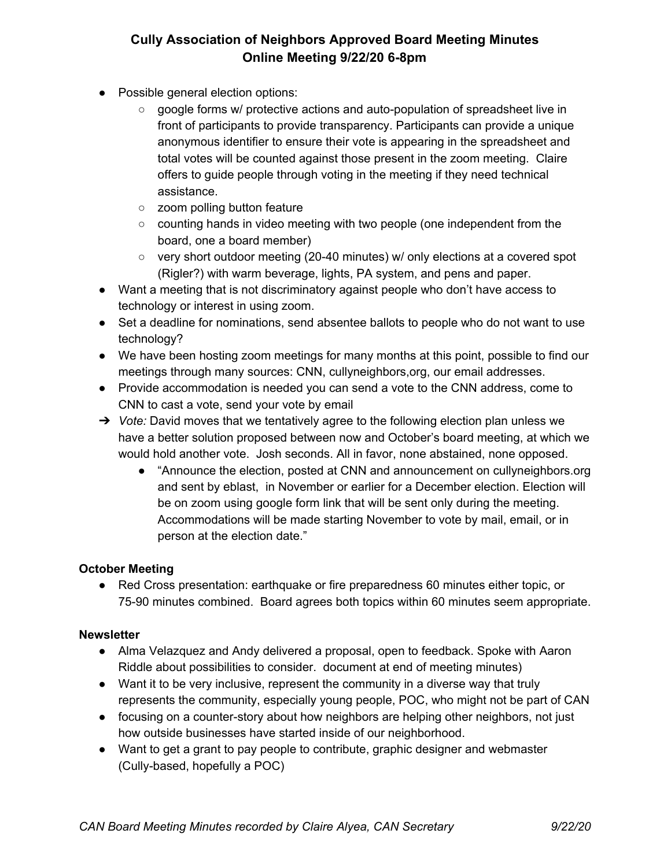- Possible general election options:
	- google forms w/ protective actions and auto-population of spreadsheet live in front of participants to provide transparency. Participants can provide a unique anonymous identifier to ensure their vote is appearing in the spreadsheet and total votes will be counted against those present in the zoom meeting. Claire offers to guide people through voting in the meeting if they need technical assistance.
	- zoom polling button feature
	- counting hands in video meeting with two people (one independent from the board, one a board member)
	- $\circ$  very short outdoor meeting (20-40 minutes) w/ only elections at a covered spot (Rigler?) with warm beverage, lights, PA system, and pens and paper.
- Want a meeting that is not discriminatory against people who don't have access to technology or interest in using zoom.
- Set a deadline for nominations, send absentee ballots to people who do not want to use technology?
- We have been hosting zoom meetings for many months at this point, possible to find our meetings through many sources: CNN, cullyneighbors,org, our email addresses.
- Provide accommodation is needed you can send a vote to the CNN address, come to CNN to cast a vote, send your vote by email
- ➔ *Vote:* David moves that we tentatively agree to the following election plan unless we have a better solution proposed between now and October's board meeting, at which we would hold another vote. Josh seconds. All in favor, none abstained, none opposed.
	- "Announce the election, posted at CNN and announcement on cullyneighbors.org and sent by eblast, in November or earlier for a December election. Election will be on zoom using google form link that will be sent only during the meeting. Accommodations will be made starting November to vote by mail, email, or in person at the election date."

### **October Meeting**

● Red Cross presentation: earthquake or fire preparedness 60 minutes either topic, or 75-90 minutes combined. Board agrees both topics within 60 minutes seem appropriate.

#### **Newsletter**

- Alma Velazquez and Andy delivered a proposal, open to feedback. Spoke with Aaron Riddle about possibilities to consider. document at end of meeting minutes)
- Want it to be very inclusive, represent the community in a diverse way that truly represents the community, especially young people, POC, who might not be part of CAN
- focusing on a counter-story about how neighbors are helping other neighbors, not just how outside businesses have started inside of our neighborhood.
- Want to get a grant to pay people to contribute, graphic designer and webmaster (Cully-based, hopefully a POC)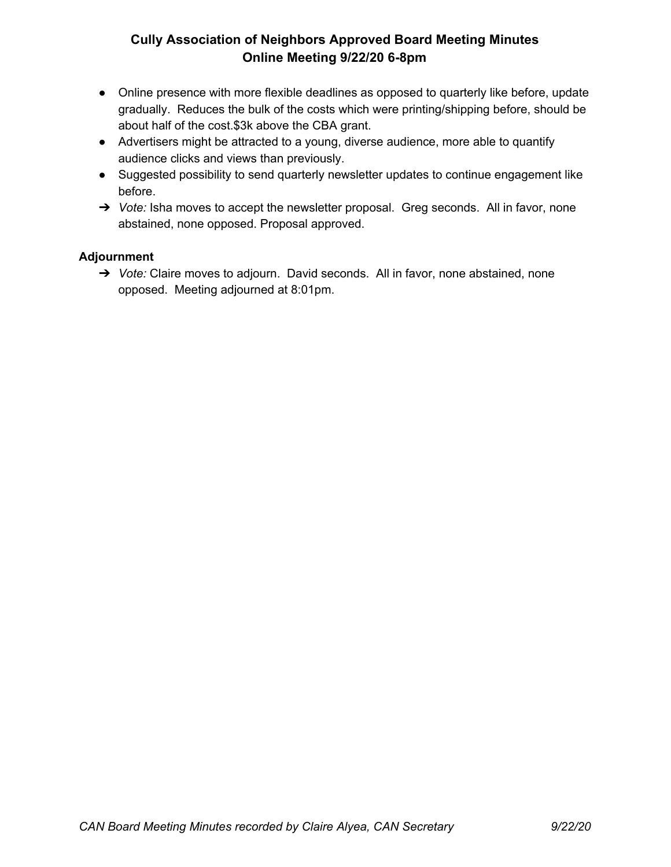- Online presence with more flexible deadlines as opposed to quarterly like before, update gradually. Reduces the bulk of the costs which were printing/shipping before, should be about half of the cost.\$3k above the CBA grant.
- Advertisers might be attracted to a young, diverse audience, more able to quantify audience clicks and views than previously.
- Suggested possibility to send quarterly newsletter updates to continue engagement like before.
- ➔ *Vote:* Isha moves to accept the newsletter proposal. Greg seconds. All in favor, none abstained, none opposed. Proposal approved.

### **Adjournment**

➔ *Vote:* Claire moves to adjourn. David seconds. All in favor, none abstained, none opposed. Meeting adjourned at 8:01pm.